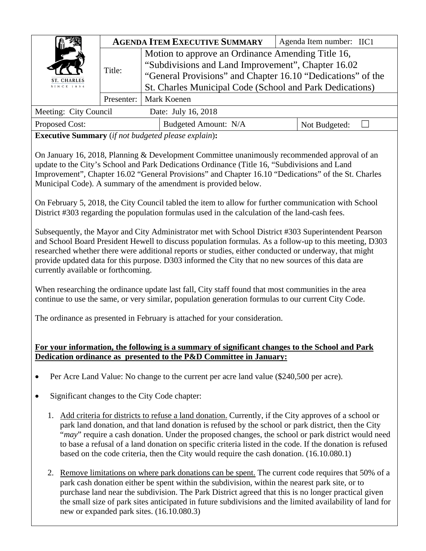| ST. CHARLES<br>SINCE 1834 |            | <b>AGENDA ITEM EXECUTIVE SUMMARY</b>                                                                                                                                                                                               | Agenda Item number: IIC1 |  |
|---------------------------|------------|------------------------------------------------------------------------------------------------------------------------------------------------------------------------------------------------------------------------------------|--------------------------|--|
|                           | Title:     | Motion to approve an Ordinance Amending Title 16,<br>"Subdivisions and Land Improvement", Chapter 16.02<br>"General Provisions" and Chapter 16.10 "Dedications" of the<br>St. Charles Municipal Code (School and Park Dedications) |                          |  |
|                           | Presenter: | Mark Koenen                                                                                                                                                                                                                        |                          |  |
| Meeting: City Council     |            | Date: July 16, 2018                                                                                                                                                                                                                |                          |  |
| Proposed Cost:            |            | Budgeted Amount: N/A                                                                                                                                                                                                               | Not Budgeted:            |  |

**Executive Summary** (*if not budgeted please explain*)**:** 

On January 16, 2018, Planning & Development Committee unanimously recommended approval of an update to the City's School and Park Dedications Ordinance (Title 16, "Subdivisions and Land Improvement", Chapter 16.02 "General Provisions" and Chapter 16.10 "Dedications" of the St. Charles Municipal Code). A summary of the amendment is provided below.

On February 5, 2018, the City Council tabled the item to allow for further communication with School District #303 regarding the population formulas used in the calculation of the land-cash fees.

Subsequently, the Mayor and City Administrator met with School District #303 Superintendent Pearson and School Board President Hewell to discuss population formulas. As a follow-up to this meeting, D303 researched whether there were additional reports or studies, either conducted or underway, that might provide updated data for this purpose. D303 informed the City that no new sources of this data are currently available or forthcoming.

When researching the ordinance update last fall, City staff found that most communities in the area continue to use the same, or very similar, population generation formulas to our current City Code.

The ordinance as presented in February is attached for your consideration.

## **For your information, the following is a summary of significant changes to the School and Park Dedication ordinance as presented to the P&D Committee in January:**

- Per Acre Land Value: No change to the current per acre land value (\$240,500 per acre).
- Significant changes to the City Code chapter:
	- 1. Add criteria for districts to refuse a land donation. Currently, if the City approves of a school or park land donation, and that land donation is refused by the school or park district, then the City "*may*" require a cash donation. Under the proposed changes, the school or park district would need to base a refusal of a land donation on specific criteria listed in the code. If the donation is refused based on the code criteria, then the City would require the cash donation. (16.10.080.1)
	- 2. Remove limitations on where park donations can be spent. The current code requires that 50% of a park cash donation either be spent within the subdivision, within the nearest park site, or to purchase land near the subdivision. The Park District agreed that this is no longer practical given the small size of park sites anticipated in future subdivisions and the limited availability of land for new or expanded park sites. (16.10.080.3)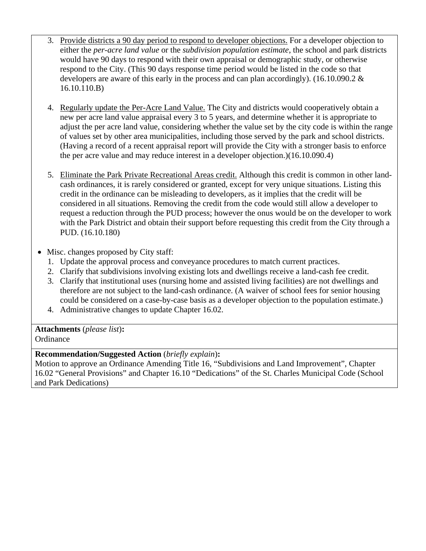- 3. Provide districts a 90 day period to respond to developer objections. For a developer objection to either the *per-acre land value* or the *subdivision population estimate*, the school and park districts would have 90 days to respond with their own appraisal or demographic study, or otherwise respond to the City. (This 90 days response time period would be listed in the code so that developers are aware of this early in the process and can plan accordingly). (16.10.090.2 & 16.10.110.B)
- 4. Regularly update the Per-Acre Land Value. The City and districts would cooperatively obtain a new per acre land value appraisal every 3 to 5 years, and determine whether it is appropriate to adjust the per acre land value, considering whether the value set by the city code is within the range of values set by other area municipalities, including those served by the park and school districts. (Having a record of a recent appraisal report will provide the City with a stronger basis to enforce the per acre value and may reduce interest in a developer objection.)(16.10.090.4)
- 5. Eliminate the Park Private Recreational Areas credit. Although this credit is common in other landcash ordinances, it is rarely considered or granted, except for very unique situations. Listing this credit in the ordinance can be misleading to developers, as it implies that the credit will be considered in all situations. Removing the credit from the code would still allow a developer to request a reduction through the PUD process; however the onus would be on the developer to work with the Park District and obtain their support before requesting this credit from the City through a PUD. (16.10.180)
- Misc. changes proposed by City staff:
	- 1. Update the approval process and conveyance procedures to match current practices.
	- 2. Clarify that subdivisions involving existing lots and dwellings receive a land-cash fee credit.
	- 3. Clarify that institutional uses (nursing home and assisted living facilities) are not dwellings and therefore are not subject to the land-cash ordinance. (A waiver of school fees for senior housing could be considered on a case-by-case basis as a developer objection to the population estimate.)
	- 4. Administrative changes to update Chapter 16.02.

**Attachments** (*please list*)**: Ordinance** 

# **Recommendation/Suggested Action** (*briefly explain*)**:**

Motion to approve an Ordinance Amending Title 16, "Subdivisions and Land Improvement", Chapter 16.02 "General Provisions" and Chapter 16.10 "Dedications" of the St. Charles Municipal Code (School and Park Dedications)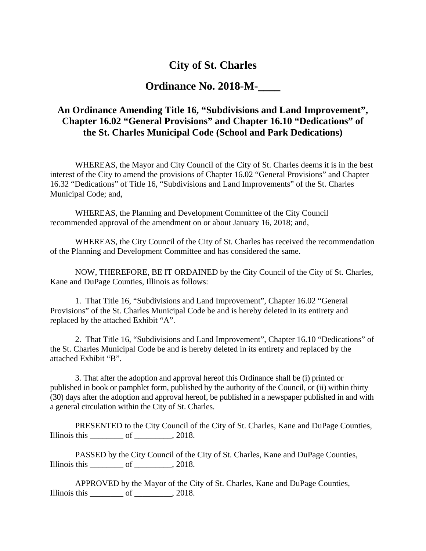# **City of St. Charles**

# **Ordinance No. 2018-M-\_\_\_\_**

# **An Ordinance Amending Title 16, "Subdivisions and Land Improvement", Chapter 16.02 "General Provisions" and Chapter 16.10 "Dedications" of the St. Charles Municipal Code (School and Park Dedications)**

WHEREAS, the Mayor and City Council of the City of St. Charles deems it is in the best interest of the City to amend the provisions of Chapter 16.02 "General Provisions" and Chapter 16.32 "Dedications" of Title 16, "Subdivisions and Land Improvements" of the St. Charles Municipal Code; and,

WHEREAS, the Planning and Development Committee of the City Council recommended approval of the amendment on or about January 16, 2018; and,

WHEREAS, the City Council of the City of St. Charles has received the recommendation of the Planning and Development Committee and has considered the same.

NOW, THEREFORE, BE IT ORDAINED by the City Council of the City of St. Charles, Kane and DuPage Counties, Illinois as follows:

1. That Title 16, "Subdivisions and Land Improvement", Chapter 16.02 "General Provisions" of the St. Charles Municipal Code be and is hereby deleted in its entirety and replaced by the attached Exhibit "A".

2. That Title 16, "Subdivisions and Land Improvement", Chapter 16.10 "Dedications" of the St. Charles Municipal Code be and is hereby deleted in its entirety and replaced by the attached Exhibit "B".

3. That after the adoption and approval hereof this Ordinance shall be (i) printed or published in book or pamphlet form, published by the authority of the Council, or (ii) within thirty (30) days after the adoption and approval hereof, be published in a newspaper published in and with a general circulation within the City of St. Charles.

PRESENTED to the City Council of the City of St. Charles, Kane and DuPage Counties, Illinois this  $\rule{1em}{0.15mm}$  of  $\rule{1em}{0.15mm}$  2018.

PASSED by the City Council of the City of St. Charles, Kane and DuPage Counties, Illinois this  $\rule{1em}{0.15mm}$  of  $\rule{1em}{0.15mm}$  2018.

APPROVED by the Mayor of the City of St. Charles, Kane and DuPage Counties, Illinois this  $\rule{1em}{0.15mm}$  of  $\rule{1em}{0.15mm}$  2018.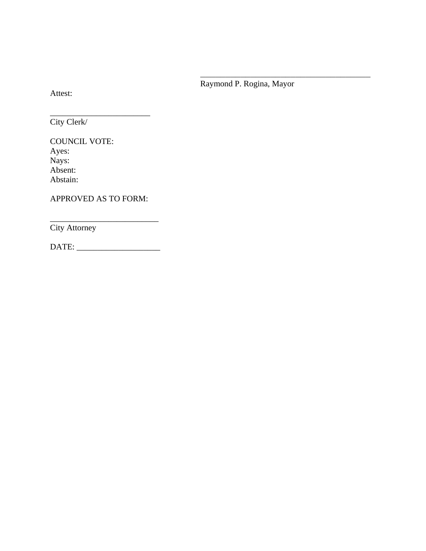Raymond P. Rogina, Mayor

\_\_\_\_\_\_\_\_\_\_\_\_\_\_\_\_\_\_\_\_\_\_\_\_\_\_\_\_\_\_\_\_\_\_

Attest:

\_\_\_\_\_\_\_\_\_\_\_\_\_\_\_\_\_\_\_\_\_\_\_\_ City Clerk/

COUNCIL VOTE: Ayes: Nays: Absent: Abstain:

APPROVED AS TO FORM:

City Attorney

DATE: \_\_\_\_\_\_\_\_\_\_\_\_\_\_\_\_\_\_\_\_

\_\_\_\_\_\_\_\_\_\_\_\_\_\_\_\_\_\_\_\_\_\_\_\_\_\_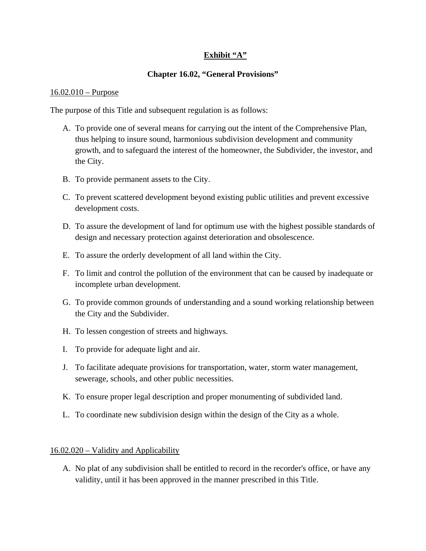## **Exhibit "A"**

### **Chapter 16.02, "General Provisions"**

#### 16.02.010 – Purpose

The purpose of this Title and subsequent regulation is as follows:

- A. To provide one of several means for carrying out the intent of the Comprehensive Plan, thus helping to insure sound, harmonious subdivision development and community growth, and to safeguard the interest of the homeowner, the Subdivider, the investor, and the City.
- B. To provide permanent assets to the City.
- C. To prevent scattered development beyond existing public utilities and prevent excessive development costs.
- D. To assure the development of land for optimum use with the highest possible standards of design and necessary protection against deterioration and obsolescence.
- E. To assure the orderly development of all land within the City.
- F. To limit and control the pollution of the environment that can be caused by inadequate or incomplete urban development.
- G. To provide common grounds of understanding and a sound working relationship between the City and the Subdivider.
- H. To lessen congestion of streets and highways.
- I. To provide for adequate light and air.
- J. To facilitate adequate provisions for transportation, water, storm water management, sewerage, schools, and other public necessities.
- K. To ensure proper legal description and proper monumenting of subdivided land.
- L. To coordinate new subdivision design within the design of the City as a whole.

#### 16.02.020 – Validity and Applicability

A. No plat of any subdivision shall be entitled to record in the recorder's office, or have any validity, until it has been approved in the manner prescribed in this Title.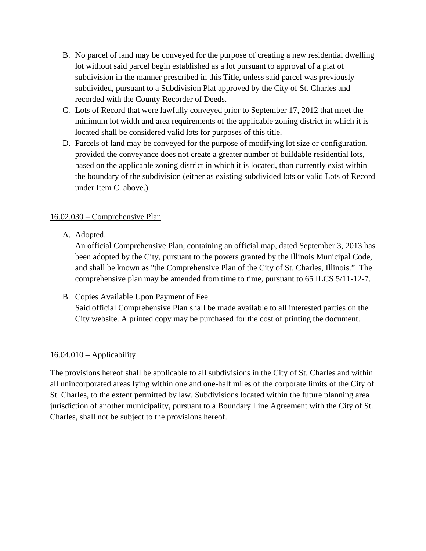- B. No parcel of land may be conveyed for the purpose of creating a new residential dwelling lot without said parcel begin established as a lot pursuant to approval of a plat of subdivision in the manner prescribed in this Title, unless said parcel was previously subdivided, pursuant to a Subdivision Plat approved by the City of St. Charles and recorded with the County Recorder of Deeds.
- C. Lots of Record that were lawfully conveyed prior to September 17, 2012 that meet the minimum lot width and area requirements of the applicable zoning district in which it is located shall be considered valid lots for purposes of this title.
- D. Parcels of land may be conveyed for the purpose of modifying lot size or configuration, provided the conveyance does not create a greater number of buildable residential lots, based on the applicable zoning district in which it is located, than currently exist within the boundary of the subdivision (either as existing subdivided lots or valid Lots of Record under Item C. above.)

## 16.02.030 – Comprehensive Plan

A. Adopted.

An official Comprehensive Plan, containing an official map, dated September 3, 2013 has been adopted by the City, pursuant to the powers granted by the Illinois Municipal Code, and shall be known as "the Comprehensive Plan of the City of St. Charles, Illinois." The comprehensive plan may be amended from time to time, pursuant to 65 ILCS 5/11-12-7.

B. Copies Available Upon Payment of Fee. Said official Comprehensive Plan shall be made available to all interested parties on the City website. A printed copy may be purchased for the cost of printing the document.

## $16.04.010 -$ Applicability

The provisions hereof shall be applicable to all subdivisions in the City of St. Charles and within all unincorporated areas lying within one and one-half miles of the corporate limits of the City of St. Charles, to the extent permitted by law. Subdivisions located within the future planning area jurisdiction of another municipality, pursuant to a Boundary Line Agreement with the City of St. Charles, shall not be subject to the provisions hereof.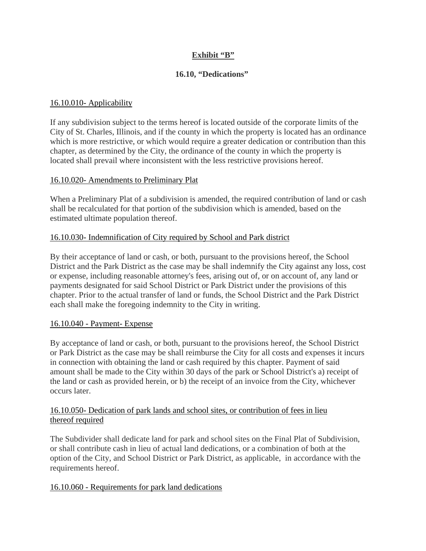## **Exhibit "B"**

### **16.10, "Dedications"**

### 16.10.010- Applicability

If any subdivision subject to the terms hereof is located outside of the corporate limits of the City of St. Charles, Illinois, and if the county in which the property is located has an ordinance which is more restrictive, or which would require a greater dedication or contribution than this chapter, as determined by the City, the ordinance of the county in which the property is located shall prevail where inconsistent with the less restrictive provisions hereof.

### 16.10.020- Amendments to Preliminary Plat

When a Preliminary Plat of a subdivision is amended, the required contribution of land or cash shall be recalculated for that portion of the subdivision which is amended, based on the estimated ultimate population thereof.

## 16.10.030- Indemnification of City required by School and Park district

By their acceptance of land or cash, or both, pursuant to the provisions hereof, the School District and the Park District as the case may be shall indemnify the City against any loss, cost or expense, including reasonable attorney's fees, arising out of, or on account of, any land or payments designated for said School District or Park District under the provisions of this chapter. Prior to the actual transfer of land or funds, the School District and the Park District each shall make the foregoing indemnity to the City in writing.

### 16.10.040 - Payment- Expense

By acceptance of land or cash, or both, pursuant to the provisions hereof, the School District or Park District as the case may be shall reimburse the City for all costs and expenses it incurs in connection with obtaining the land or cash required by this chapter. Payment of said amount shall be made to the City within 30 days of the park or School District's a) receipt of the land or cash as provided herein, or b) the receipt of an invoice from the City, whichever occurs later.

### 16.10.050- Dedication of park lands and school sites, or contribution of fees in lieu thereof required

The Subdivider shall dedicate land for park and school sites on the Final Plat of Subdivision, or shall contribute cash in lieu of actual land dedications, or a combination of both at the option of the City, and School District or Park District, as applicable, in accordance with the requirements hereof.

### 16.10.060 - Requirements for park land dedications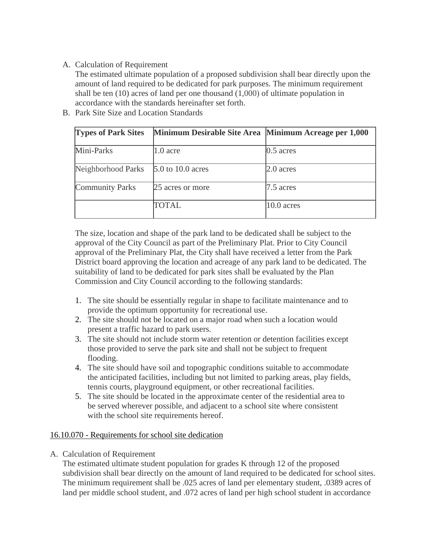### A. Calculation of Requirement

The estimated ultimate population of a proposed subdivision shall bear directly upon the amount of land required to be dedicated for park purposes. The minimum requirement shall be ten (10) acres of land per one thousand (1,000) of ultimate population in accordance with the standards hereinafter set forth.

- **Types of Park Sites Minimum Desirable Site Area Minimum Acreage per 1,000** Mini-Parks 1.0 acre 0.5 acres Neighborhood Parks 5.0 to 10.0 acres 2.0 acres Community Parks 25 acres or more 2.5 acres TOTAL 10.0 acres
- B. Park Site Size and Location Standards

The size, location and shape of the park land to be dedicated shall be subject to the approval of the City Council as part of the Preliminary Plat. Prior to City Council approval of the Preliminary Plat, the City shall have received a letter from the Park District board approving the location and acreage of any park land to be dedicated. The suitability of land to be dedicated for park sites shall be evaluated by the Plan Commission and City Council according to the following standards:

- 1. The site should be essentially regular in shape to facilitate maintenance and to provide the optimum opportunity for recreational use.
- 2. The site should not be located on a major road when such a location would present a traffic hazard to park users.
- 3. The site should not include storm water retention or detention facilities except those provided to serve the park site and shall not be subject to frequent flooding.
- 4. The site should have soil and topographic conditions suitable to accommodate the anticipated facilities, including but not limited to parking areas, play fields, tennis courts, playground equipment, or other recreational facilities.
- 5. The site should be located in the approximate center of the residential area to be served wherever possible, and adjacent to a school site where consistent with the school site requirements hereof.

### 16.10.070 - Requirements for school site dedication

A. Calculation of Requirement

The estimated ultimate student population for grades K through 12 of the proposed subdivision shall bear directly on the amount of land required to be dedicated for school sites. The minimum requirement shall be .025 acres of land per elementary student, .0389 acres of land per middle school student, and .072 acres of land per high school student in accordance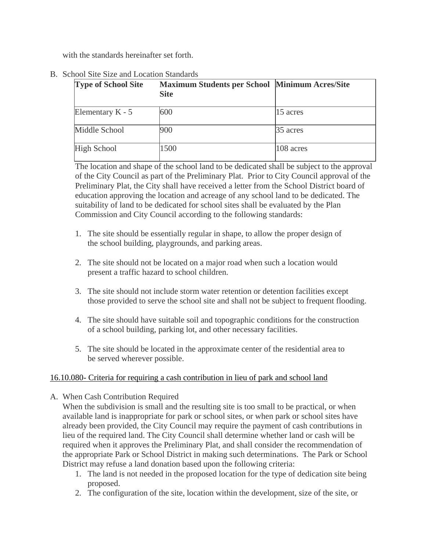with the standards hereinafter set forth.

| <b>Type of School Site</b> | <b>Maximum Students per School Minimum Acres/Site</b><br><b>Site</b> |           |
|----------------------------|----------------------------------------------------------------------|-----------|
| Elementary $K - 5$         | 600                                                                  | 15 acres  |
| Middle School              | 900                                                                  | 35 acres  |
| <b>High School</b>         | 1500                                                                 | 108 acres |

B. School Site Size and Location Standards

The location and shape of the school land to be dedicated shall be subject to the approval of the City Council as part of the Preliminary Plat. Prior to City Council approval of the Preliminary Plat, the City shall have received a letter from the School District board of education approving the location and acreage of any school land to be dedicated. The suitability of land to be dedicated for school sites shall be evaluated by the Plan Commission and City Council according to the following standards:

- 1. The site should be essentially regular in shape, to allow the proper design of the school building, playgrounds, and parking areas.
- 2. The site should not be located on a major road when such a location would present a traffic hazard to school children.
- 3. The site should not include storm water retention or detention facilities except those provided to serve the school site and shall not be subject to frequent flooding.
- 4. The site should have suitable soil and topographic conditions for the construction of a school building, parking lot, and other necessary facilities.
- 5. The site should be located in the approximate center of the residential area to be served wherever possible.

## 16.10.080- Criteria for requiring a cash contribution in lieu of park and school land

A. When Cash Contribution Required

When the subdivision is small and the resulting site is too small to be practical, or when available land is inappropriate for park or school sites, or when park or school sites have already been provided, the City Council may require the payment of cash contributions in lieu of the required land. The City Council shall determine whether land or cash will be required when it approves the Preliminary Plat, and shall consider the recommendation of the appropriate Park or School District in making such determinations. The Park or School District may refuse a land donation based upon the following criteria:

- 1. The land is not needed in the proposed location for the type of dedication site being proposed.
- 2. The configuration of the site, location within the development, size of the site, or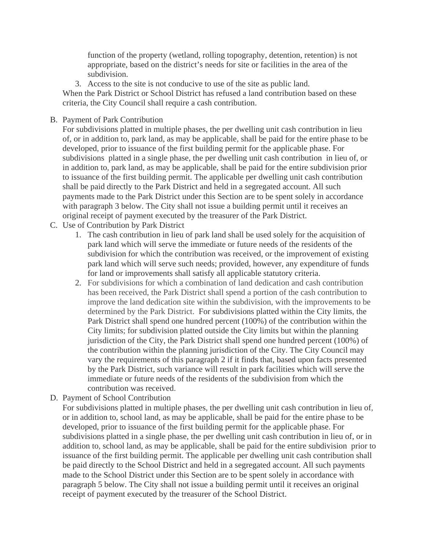function of the property (wetland, rolling topography, detention, retention) is not appropriate, based on the district's needs for site or facilities in the area of the subdivision.

3. Access to the site is not conducive to use of the site as public land. When the Park District or School District has refused a land contribution based on these criteria, the City Council shall require a cash contribution.

### B. Payment of Park Contribution

For subdivisions platted in multiple phases, the per dwelling unit cash contribution in lieu of, or in addition to, park land, as may be applicable, shall be paid for the entire phase to be developed, prior to issuance of the first building permit for the applicable phase. For subdivisions platted in a single phase, the per dwelling unit cash contribution in lieu of, or in addition to, park land, as may be applicable, shall be paid for the entire subdivision prior to issuance of the first building permit. The applicable per dwelling unit cash contribution shall be paid directly to the Park District and held in a segregated account. All such payments made to the Park District under this Section are to be spent solely in accordance with paragraph 3 below. The City shall not issue a building permit until it receives an original receipt of payment executed by the treasurer of the Park District.

- C. Use of Contribution by Park District
	- 1. The cash contribution in lieu of park land shall be used solely for the acquisition of park land which will serve the immediate or future needs of the residents of the subdivision for which the contribution was received, or the improvement of existing park land which will serve such needs; provided, however, any expenditure of funds for land or improvements shall satisfy all applicable statutory criteria.
	- 2. For subdivisions for which a combination of land dedication and cash contribution has been received, the Park District shall spend a portion of the cash contribution to improve the land dedication site within the subdivision, with the improvements to be determined by the Park District. For subdivisions platted within the City limits, the Park District shall spend one hundred percent (100%) of the contribution within the City limits; for subdivision platted outside the City limits but within the planning jurisdiction of the City, the Park District shall spend one hundred percent (100%) of the contribution within the planning jurisdiction of the City. The City Council may vary the requirements of this paragraph 2 if it finds that, based upon facts presented by the Park District, such variance will result in park facilities which will serve the immediate or future needs of the residents of the subdivision from which the contribution was received.
- D. Payment of School Contribution

For subdivisions platted in multiple phases, the per dwelling unit cash contribution in lieu of, or in addition to, school land, as may be applicable, shall be paid for the entire phase to be developed, prior to issuance of the first building permit for the applicable phase. For subdivisions platted in a single phase, the per dwelling unit cash contribution in lieu of, or in addition to, school land, as may be applicable, shall be paid for the entire subdivision prior to issuance of the first building permit. The applicable per dwelling unit cash contribution shall be paid directly to the School District and held in a segregated account. All such payments made to the School District under this Section are to be spent solely in accordance with paragraph 5 below. The City shall not issue a building permit until it receives an original receipt of payment executed by the treasurer of the School District.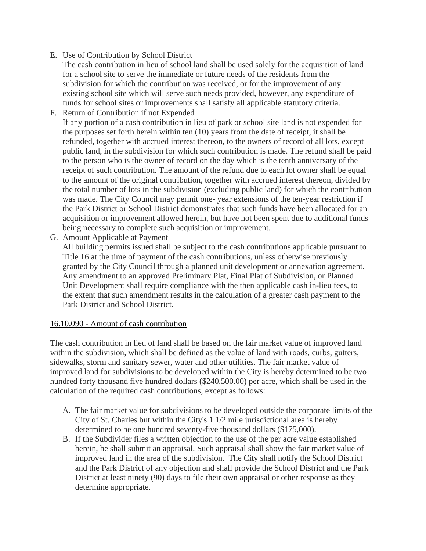- E. Use of Contribution by School District
	- The cash contribution in lieu of school land shall be used solely for the acquisition of land for a school site to serve the immediate or future needs of the residents from the subdivision for which the contribution was received, or for the improvement of any existing school site which will serve such needs provided, however, any expenditure of funds for school sites or improvements shall satisfy all applicable statutory criteria.
- F. Return of Contribution if not Expended If any portion of a cash contribution in lieu of park or school site land is not expended for the purposes set forth herein within ten (10) years from the date of receipt, it shall be refunded, together with accrued interest thereon, to the owners of record of all lots, except public land, in the subdivision for which such contribution is made. The refund shall be paid to the person who is the owner of record on the day which is the tenth anniversary of the receipt of such contribution. The amount of the refund due to each lot owner shall be equal to the amount of the original contribution, together with accrued interest thereon, divided by the total number of lots in the subdivision (excluding public land) for which the contribution was made. The City Council may permit one- year extensions of the ten-year restriction if the Park District or School District demonstrates that such funds have been allocated for an acquisition or improvement allowed herein, but have not been spent due to additional funds being necessary to complete such acquisition or improvement.
- G. Amount Applicable at Payment

All building permits issued shall be subject to the cash contributions applicable pursuant to Title 16 at the time of payment of the cash contributions, unless otherwise previously granted by the City Council through a planned unit development or annexation agreement. Any amendment to an approved Preliminary Plat, Final Plat of Subdivision, or Planned Unit Development shall require compliance with the then applicable cash in-lieu fees, to the extent that such amendment results in the calculation of a greater cash payment to the Park District and School District.

### 16.10.090 - Amount of cash contribution

The cash contribution in lieu of land shall be based on the fair market value of improved land within the subdivision, which shall be defined as the value of land with roads, curbs, gutters, sidewalks, storm and sanitary sewer, water and other utilities. The fair market value of improved land for subdivisions to be developed within the City is hereby determined to be two hundred forty thousand five hundred dollars (\$240,500.00) per acre, which shall be used in the calculation of the required cash contributions, except as follows:

- A. The fair market value for subdivisions to be developed outside the corporate limits of the City of St. Charles but within the City's 1 1/2 mile jurisdictional area is hereby determined to be one hundred seventy-five thousand dollars (\$175,000).
- B. If the Subdivider files a written objection to the use of the per acre value established herein, he shall submit an appraisal. Such appraisal shall show the fair market value of improved land in the area of the subdivision. The City shall notify the School District and the Park District of any objection and shall provide the School District and the Park District at least ninety (90) days to file their own appraisal or other response as they determine appropriate.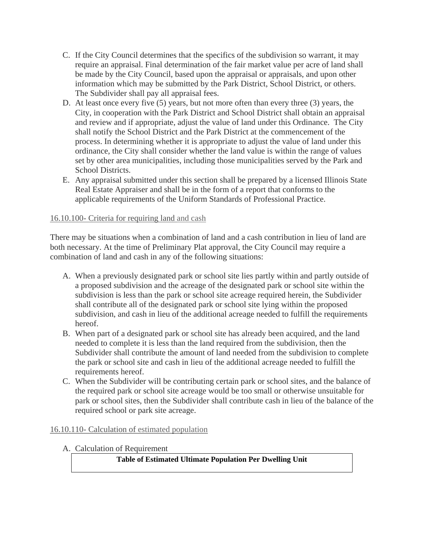- C. If the City Council determines that the specifics of the subdivision so warrant, it may require an appraisal. Final determination of the fair market value per acre of land shall be made by the City Council, based upon the appraisal or appraisals, and upon other information which may be submitted by the Park District, School District, or others. The Subdivider shall pay all appraisal fees.
- D. At least once every five (5) years, but not more often than every three (3) years, the City, in cooperation with the Park District and School District shall obtain an appraisal and review and if appropriate, adjust the value of land under this Ordinance. The City shall notify the School District and the Park District at the commencement of the process. In determining whether it is appropriate to adjust the value of land under this ordinance, the City shall consider whether the land value is within the range of values set by other area municipalities, including those municipalities served by the Park and School Districts.
- E. Any appraisal submitted under this section shall be prepared by a licensed Illinois State Real Estate Appraiser and shall be in the form of a report that conforms to the applicable requirements of the Uniform Standards of Professional Practice.

### 16.10.100- Criteria for requiring land and cash

There may be situations when a combination of land and a cash contribution in lieu of land are both necessary. At the time of Preliminary Plat approval, the City Council may require a combination of land and cash in any of the following situations:

- A. When a previously designated park or school site lies partly within and partly outside of a proposed subdivision and the acreage of the designated park or school site within the subdivision is less than the park or school site acreage required herein, the Subdivider shall contribute all of the designated park or school site lying within the proposed subdivision, and cash in lieu of the additional acreage needed to fulfill the requirements hereof.
- B. When part of a designated park or school site has already been acquired, and the land needed to complete it is less than the land required from the subdivision, then the Subdivider shall contribute the amount of land needed from the subdivision to complete the park or school site and cash in lieu of the additional acreage needed to fulfill the requirements hereof.
- C. When the Subdivider will be contributing certain park or school sites, and the balance of the required park or school site acreage would be too small or otherwise unsuitable for park or school sites, then the Subdivider shall contribute cash in lieu of the balance of the required school or park site acreage.

## 16.10.110- Calculation of estimated population

A. Calculation of Requirement

**Table of Estimated Ultimate Population Per Dwelling Unit**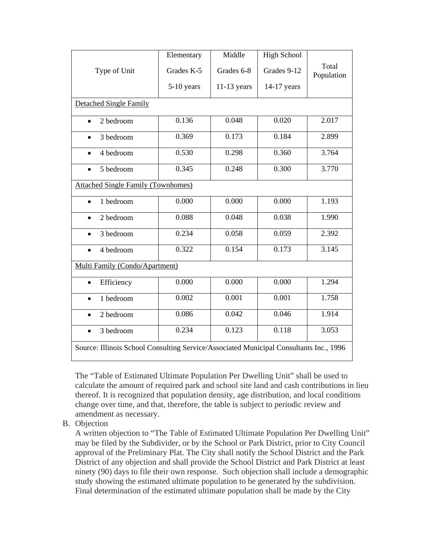|                                                                                        | Elementary | Middle        | <b>High School</b> |                     |  |  |  |  |
|----------------------------------------------------------------------------------------|------------|---------------|--------------------|---------------------|--|--|--|--|
| Type of Unit                                                                           | Grades K-5 | Grades 6-8    | Grades 9-12        | Total<br>Population |  |  |  |  |
|                                                                                        | 5-10 years | $11-13$ years | 14-17 years        |                     |  |  |  |  |
| Detached Single Family                                                                 |            |               |                    |                     |  |  |  |  |
| 2 bedroom                                                                              | 0.136      | 0.048         | 0.020              | 2.017               |  |  |  |  |
| 3 bedroom                                                                              | 0.369      | 0.173         | 0.184              | 2.899               |  |  |  |  |
| 4 bedroom                                                                              | 0.530      | 0.298         | 0.360              | 3.764               |  |  |  |  |
| 5 bedroom                                                                              | 0.345      | 0.248         | 0.300              | 3.770               |  |  |  |  |
| <b>Attached Single Family (Townhomes)</b>                                              |            |               |                    |                     |  |  |  |  |
| 1 bedroom                                                                              | 0.000      | 0.000         | 0.000              | 1.193               |  |  |  |  |
| 2 bedroom                                                                              | 0.088      | 0.048         | 0.038              | 1.990               |  |  |  |  |
| 3 bedroom                                                                              | 0.234      | 0.058         | 0.059              | 2.392               |  |  |  |  |
| 4 bedroom<br>$\bullet$                                                                 | 0.322      | 0.154         | 0.173              | 3.145               |  |  |  |  |
| Multi Family (Condo/Apartment)                                                         |            |               |                    |                     |  |  |  |  |
| Efficiency<br>$\bullet$                                                                | 0.000      | 0.000         | 0.000              | 1.294               |  |  |  |  |
| 1 bedroom<br>$\bullet$                                                                 | 0.002      | 0.001         | 0.001              | 1.758               |  |  |  |  |
| 2 bedroom                                                                              | 0.086      | 0.042         | 0.046              | 1.914               |  |  |  |  |
| 3 bedroom                                                                              | 0.234      | 0.123         | 0.118              | 3.053               |  |  |  |  |
| Source: Illinois School Consulting Service/Associated Municipal Consultants Inc., 1996 |            |               |                    |                     |  |  |  |  |

The "Table of Estimated Ultimate Population Per Dwelling Unit" shall be used to calculate the amount of required park and school site land and cash contributions in lieu thereof. It is recognized that population density, age distribution, and local conditions change over time, and that, therefore, the table is subject to periodic review and amendment as necessary.

B. Objection

A written objection to "The Table of Estimated Ultimate Population Per Dwelling Unit" may be filed by the Subdivider, or by the School or Park District, prior to City Council approval of the Preliminary Plat. The City shall notify the School District and the Park District of any objection and shall provide the School District and Park District at least ninety (90) days to file their own response. Such objection shall include a demographic study showing the estimated ultimate population to be generated by the subdivision. Final determination of the estimated ultimate population shall be made by the City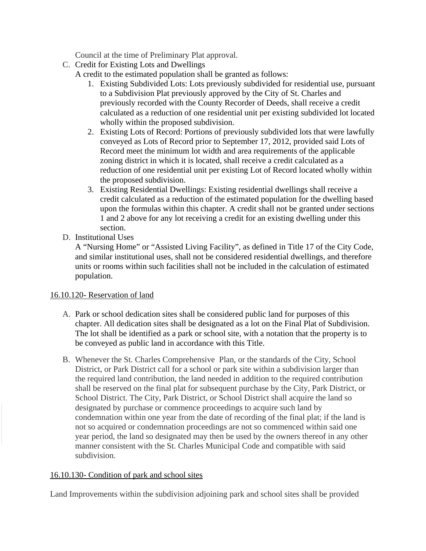Council at the time of Preliminary Plat approval.

C. Credit for Existing Lots and Dwellings

A credit to the estimated population shall be granted as follows:

- 1. Existing Subdivided Lots: Lots previously subdivided for residential use, pursuant to a Subdivision Plat previously approved by the City of St. Charles and previously recorded with the County Recorder of Deeds, shall receive a credit calculated as a reduction of one residential unit per existing subdivided lot located wholly within the proposed subdivision.
- 2. Existing Lots of Record: Portions of previously subdivided lots that were lawfully conveyed as Lots of Record prior to September 17, 2012, provided said Lots of Record meet the minimum lot width and area requirements of the applicable zoning district in which it is located, shall receive a credit calculated as a reduction of one residential unit per existing Lot of Record located wholly within the proposed subdivision.
- 3. Existing Residential Dwellings: Existing residential dwellings shall receive a credit calculated as a reduction of the estimated population for the dwelling based upon the formulas within this chapter. A credit shall not be granted under sections 1 and 2 above for any lot receiving a credit for an existing dwelling under this section.
- D. Institutional Uses

A "Nursing Home" or "Assisted Living Facility", as defined in Title 17 of the City Code, and similar institutional uses, shall not be considered residential dwellings, and therefore units or rooms within such facilities shall not be included in the calculation of estimated population.

### 16.10.120- Reservation of land

- A. Park or school dedication sites shall be considered public land for purposes of this chapter. All dedication sites shall be designated as a lot on the Final Plat of Subdivision. The lot shall be identified as a park or school site, with a notation that the property is to be conveyed as public land in accordance with this Title.
- B. Whenever the St. Charles Comprehensive Plan, or the standards of the City, School District, or Park District call for a school or park site within a subdivision larger than the required land contribution, the land needed in addition to the required contribution shall be reserved on the final plat for subsequent purchase by the City, Park District, or School District. The City, Park District, or School District shall acquire the land so designated by purchase or commence proceedings to acquire such land by condemnation within one year from the date of recording of the final plat; if the land is not so acquired or condemnation proceedings are not so commenced within said one year period, the land so designated may then be used by the owners thereof in any other manner consistent with the St. Charles Municipal Code and compatible with said subdivision.

## 16.10.130- Condition of park and school sites

Land Improvements within the subdivision adjoining park and school sites shall be provided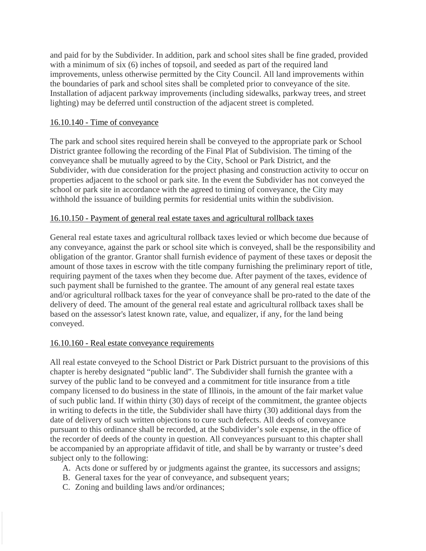and paid for by the Subdivider. In addition, park and school sites shall be fine graded, provided with a minimum of six (6) inches of topsoil, and seeded as part of the required land improvements, unless otherwise permitted by the City Council. All land improvements within the boundaries of park and school sites shall be completed prior to conveyance of the site. Installation of adjacent parkway improvements (including sidewalks, parkway trees, and street lighting) may be deferred until construction of the adjacent street is completed.

#### 16.10.140 - Time of conveyance

The park and school sites required herein shall be conveyed to the appropriate park or School District grantee following the recording of the Final Plat of Subdivision. The timing of the conveyance shall be mutually agreed to by the City, School or Park District, and the Subdivider, with due consideration for the project phasing and construction activity to occur on properties adjacent to the school or park site. In the event the Subdivider has not conveyed the school or park site in accordance with the agreed to timing of conveyance, the City may withhold the issuance of building permits for residential units within the subdivision.

#### 16.10.150 - Payment of general real estate taxes and agricultural rollback taxes

General real estate taxes and agricultural rollback taxes levied or which become due because of any conveyance, against the park or school site which is conveyed, shall be the responsibility and obligation of the grantor. Grantor shall furnish evidence of payment of these taxes or deposit the amount of those taxes in escrow with the title company furnishing the preliminary report of title, requiring payment of the taxes when they become due. After payment of the taxes, evidence of such payment shall be furnished to the grantee. The amount of any general real estate taxes and/or agricultural rollback taxes for the year of conveyance shall be pro-rated to the date of the delivery of deed. The amount of the general real estate and agricultural rollback taxes shall be based on the assessor's latest known rate, value, and equalizer, if any, for the land being conveyed.

#### 16.10.160 - Real estate conveyance requirements

All real estate conveyed to the School District or Park District pursuant to the provisions of this chapter is hereby designated "public land". The Subdivider shall furnish the grantee with a survey of the public land to be conveyed and a commitment for title insurance from a title company licensed to do business in the state of Illinois, in the amount of the fair market value of such public land. If within thirty (30) days of receipt of the commitment, the grantee objects in writing to defects in the title, the Subdivider shall have thirty (30) additional days from the date of delivery of such written objections to cure such defects. All deeds of conveyance pursuant to this ordinance shall be recorded, at the Subdivider's sole expense, in the office of the recorder of deeds of the county in question. All conveyances pursuant to this chapter shall be accompanied by an appropriate affidavit of title, and shall be by warranty or trustee's deed subject only to the following:

- A. Acts done or suffered by or judgments against the grantee, its successors and assigns;
- B. General taxes for the year of conveyance, and subsequent years;
- C. Zoning and building laws and/or ordinances;